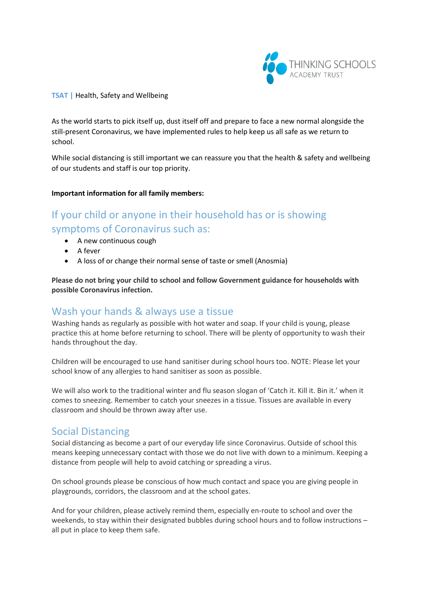

#### **TSAT |** Health, Safety and Wellbeing

As the world starts to pick itself up, dust itself off and prepare to face a new normal alongside the still-present Coronavirus, we have implemented rules to help keep us all safe as we return to school.

While social distancing is still important we can reassure you that the health & safety and wellbeing of our students and staff is our top priority.

#### **Important information for all family members:**

# If your child or anyone in their household has or is showing symptoms of Coronavirus such as:

- A new continuous cough
- A fever
- A loss of or change their normal sense of taste or smell (Anosmia)

**Please do not bring your child to school and follow Government guidance for households with possible Coronavirus infection.**

### Wash your hands & always use a tissue

Washing hands as regularly as possible with hot water and soap. If your child is young, please practice this at home before returning to school. There will be plenty of opportunity to wash their hands throughout the day.

Children will be encouraged to use hand sanitiser during school hours too. NOTE: Please let your school know of any allergies to hand sanitiser as soon as possible.

We will also work to the traditional winter and flu season slogan of 'Catch it. Kill it. Bin it.' when it comes to sneezing. Remember to catch your sneezes in a tissue. Tissues are available in every classroom and should be thrown away after use.

### Social Distancing

Social distancing as become a part of our everyday life since Coronavirus. Outside of school this means keeping unnecessary contact with those we do not live with down to a minimum. Keeping a distance from people will help to avoid catching or spreading a virus.

On school grounds please be conscious of how much contact and space you are giving people in playgrounds, corridors, the classroom and at the school gates.

And for your children, please actively remind them, especially en-route to school and over the weekends, to stay within their designated bubbles during school hours and to follow instructions – all put in place to keep them safe.